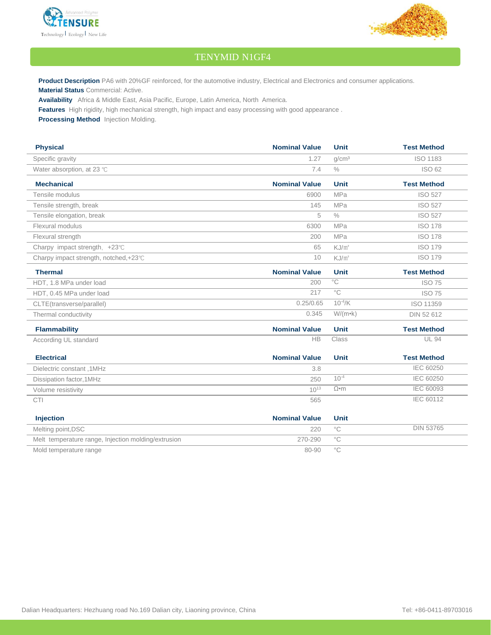



## TENYMID N1GF4

**Product Description** PA6 with 20%GF reinforced, for the automotive industry, Electrical and Electronics and consumer applications. **Material Status** Commercial: Active.

**Availability** Africa & Middle East, Asia Pacific, Europe, Latin America, North America.

**Features** High rigidity, high mechanical strength, high impact and easy processing with good appearance .

**Processing Method** Injection Molding.

| <b>Physical</b>                                     | <b>Nominal Value</b> | <b>Unit</b>       | <b>Test Method</b> |
|-----------------------------------------------------|----------------------|-------------------|--------------------|
| Specific gravity                                    | 1.27                 | g/cm <sup>3</sup> | <b>ISO 1183</b>    |
| Water absorption, at 23 °C                          | 7.4                  | $\%$              | <b>ISO 62</b>      |
| <b>Mechanical</b>                                   | <b>Nominal Value</b> | <b>Unit</b>       | <b>Test Method</b> |
| Tensile modulus                                     | 6900                 | MPa               | <b>ISO 527</b>     |
| Tensile strength, break                             | 145                  | <b>MPa</b>        | <b>ISO 527</b>     |
| Tensile elongation, break                           | 5                    | $\%$              | <b>ISO 527</b>     |
| Flexural modulus                                    | 6300                 | <b>MPa</b>        | <b>ISO 178</b>     |
| Flexural strength                                   | 200                  | <b>MPa</b>        | <b>ISO 178</b>     |
| Charpy impact strength, +23°C                       | 65                   | $KJ/m^2$          | <b>ISO 179</b>     |
| Charpy impact strength, notched, +23°C              | 10                   | $KJ/m^2$          | <b>ISO 179</b>     |
| <b>Thermal</b>                                      | <b>Nominal Value</b> | <b>Unit</b>       | <b>Test Method</b> |
| HDT. 1.8 MPa under load                             | 200                  | $\overline{C}$    | <b>ISO 75</b>      |
| HDT, 0.45 MPa under load                            | 217                  | $^{\circ}$ C      | <b>ISO 75</b>      |
| CLTE(transverse/parallel)                           | 0.25/0.65            | $10^{-4}$ /K      | ISO 11359          |
| Thermal conductivity                                | 0.345                | $W/(m \cdot k)$   | DIN 52 612         |
| <b>Flammability</b>                                 | <b>Nominal Value</b> | <b>Unit</b>       | <b>Test Method</b> |
| According UL standard                               | <b>HB</b>            | Class             | <b>UL 94</b>       |
| <b>Electrical</b>                                   | <b>Nominal Value</b> | <b>Unit</b>       | <b>Test Method</b> |
| Dielectric constant, 1MHz                           | 3.8                  |                   | <b>IEC 60250</b>   |
| Dissipation factor, 1MHz                            | 250                  | $10^{-4}$         | IEC 60250          |
| Volume resistivity                                  | $10^{13}$            | $\Omega$ •m       | <b>IEC 60093</b>   |
| CTI                                                 | 565                  |                   | <b>IEC 60112</b>   |
| <b>Injection</b>                                    | <b>Nominal Value</b> | <b>Unit</b>       |                    |
| Melting point, DSC                                  | 220                  | $^{\circ}$ C      | <b>DIN 53765</b>   |
| Melt temperature range, Injection molding/extrusion | 270-290              | $^{\circ}$ C      |                    |
| Mold temperature range                              | 80-90                | $^{\circ}$ C      |                    |